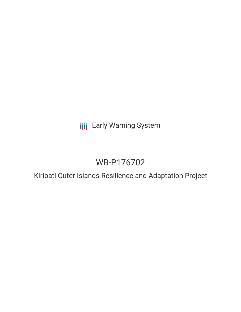**III** Early Warning System

# WB-P176702

Kiribati Outer Islands Resilience and Adaptation Project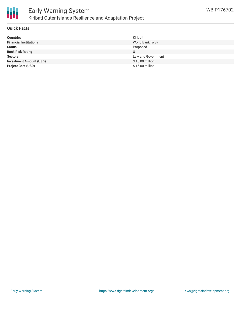

# Early Warning System Kiribati Outer Islands Resilience and Adaptation Project

#### **Quick Facts**

| <b>Countries</b>               | Kiribati           |
|--------------------------------|--------------------|
| <b>Financial Institutions</b>  | World Bank (WB)    |
| <b>Status</b>                  | Proposed           |
| <b>Bank Risk Rating</b>        |                    |
| <b>Sectors</b>                 | Law and Government |
| <b>Investment Amount (USD)</b> | \$15.00 million    |
| <b>Project Cost (USD)</b>      | \$15.00 million    |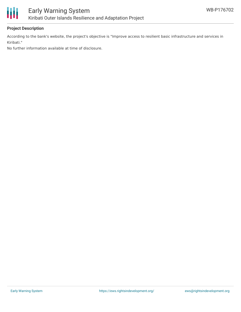

## **Project Description**

According to the bank's website, the project's objective is "Improve access to resilient basic infrastructure and services in Kiribati."

No further information available at time of disclosure.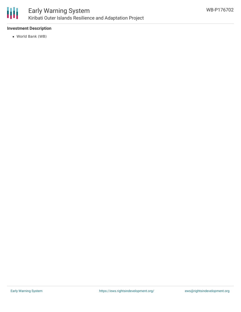

## **Investment Description**

World Bank (WB)